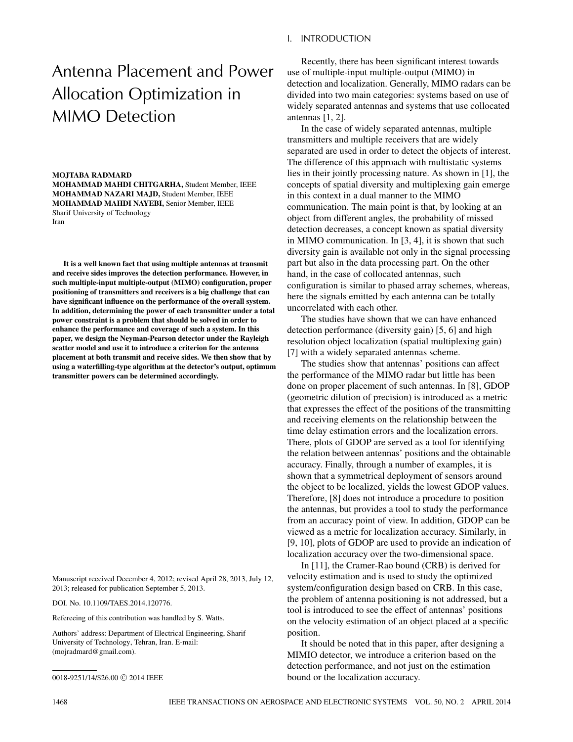## I. INTRODUCTION

# Antenna Placement and Power Allocation Optimization in MIMO Detection

#### **MOJTABA RADMARD**

**MOHAMMAD MAHDI CHITGARHA,** Student Member, IEEE **MOHAMMAD NAZARI MAJD,** Student Member, IEEE **MOHAMMAD MAHDI NAYEBI,** Senior Member, IEEE Sharif University of Technology Iran

**It is a well known fact that using multiple antennas at transmit and receive sides improves the detection performance. However, in such multiple-input multiple-output (MIMO) configuration, proper positioning of transmitters and receivers is a big challenge that can have significant influence on the performance of the overall system. In addition, determining the power of each transmitter under a total power constraint is a problem that should be solved in order to enhance the performance and coverage of such a system. In this paper, we design the Neyman-Pearson detector under the Rayleigh scatter model and use it to introduce a criterion for the antenna placement at both transmit and receive sides. We then show that by using a waterfilling-type algorithm at the detector's output, optimum transmitter powers can be determined accordingly.**

Manuscript received December 4, 2012; revised April 28, 2013, July 12, 2013; released for publication September 5, 2013.

DOI. No. 10.1109/TAES.2014.120776.

Refereeing of this contribution was handled by S. Watts.

Authors' address: Department of Electrical Engineering, Sharif University of Technology, Tehran, Iran. E-mail: (mojradmard@gmail.com).

Recently, there has been significant interest towards use of multiple-input multiple-output (MIMO) in detection and localization. Generally, MIMO radars can be divided into two main categories: systems based on use of widely separated antennas and systems that use collocated antennas [1, 2].

In the case of widely separated antennas, multiple transmitters and multiple receivers that are widely separated are used in order to detect the objects of interest. The difference of this approach with multistatic systems lies in their jointly processing nature. As shown in [1], the concepts of spatial diversity and multiplexing gain emerge in this context in a dual manner to the MIMO communication. The main point is that, by looking at an object from different angles, the probability of missed detection decreases, a concept known as spatial diversity in MIMO communication. In [3, 4], it is shown that such diversity gain is available not only in the signal processing part but also in the data processing part. On the other hand, in the case of collocated antennas, such configuration is similar to phased array schemes, whereas, here the signals emitted by each antenna can be totally uncorrelated with each other.

The studies have shown that we can have enhanced detection performance (diversity gain) [5, 6] and high resolution object localization (spatial multiplexing gain) [7] with a widely separated antennas scheme.

The studies show that antennas' positions can affect the performance of the MIMO radar but little has been done on proper placement of such antennas. In [8], GDOP (geometric dilution of precision) is introduced as a metric that expresses the effect of the positions of the transmitting and receiving elements on the relationship between the time delay estimation errors and the localization errors. There, plots of GDOP are served as a tool for identifying the relation between antennas' positions and the obtainable accuracy. Finally, through a number of examples, it is shown that a symmetrical deployment of sensors around the object to be localized, yields the lowest GDOP values. Therefore, [8] does not introduce a procedure to position the antennas, but provides a tool to study the performance from an accuracy point of view. In addition, GDOP can be viewed as a metric for localization accuracy. Similarly, in [9, 10], plots of GDOP are used to provide an indication of localization accuracy over the two-dimensional space.

In [11], the Cramer-Rao bound (CRB) is derived for velocity estimation and is used to study the optimized system/configuration design based on CRB. In this case, the problem of antenna positioning is not addressed, but a tool is introduced to see the effect of antennas' positions on the velocity estimation of an object placed at a specific position.

It should be noted that in this paper, after designing a MIMIO detector, we introduce a criterion based on the detection performance, and not just on the estimation bound or the localization accuracy.

<sup>0018-9251/14/\$26.00 © 2014</sup> IEEE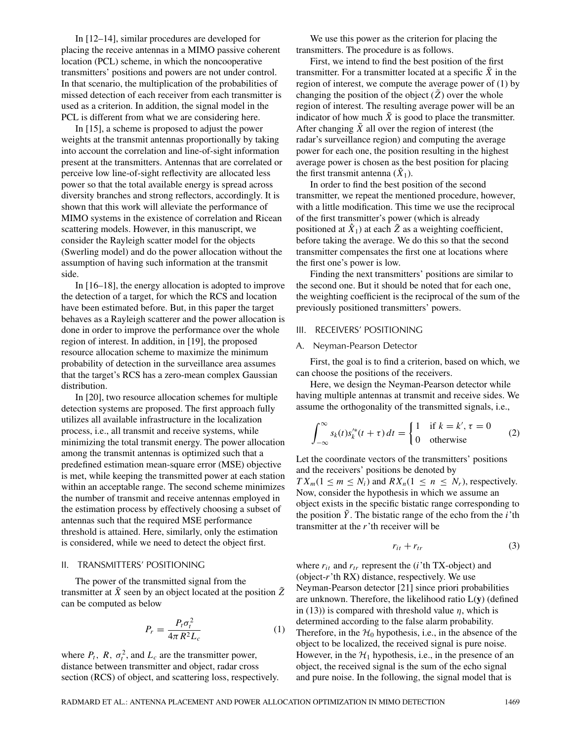In [12–14], similar procedures are developed for placing the receive antennas in a MIMO passive coherent location (PCL) scheme, in which the noncooperative transmitters' positions and powers are not under control. In that scenario, the multiplication of the probabilities of missed detection of each receiver from each transmitter is used as a criterion. In addition, the signal model in the PCL is different from what we are considering here.

In [15], a scheme is proposed to adjust the power weights at the transmit antennas proportionally by taking into account the correlation and line-of-sight information present at the transmitters. Antennas that are correlated or perceive low line-of-sight reflectivity are allocated less power so that the total available energy is spread across diversity branches and strong reflectors, accordingly. It is shown that this work will alleviate the performance of MIMO systems in the existence of correlation and Ricean scattering models. However, in this manuscript, we consider the Rayleigh scatter model for the objects (Swerling model) and do the power allocation without the assumption of having such information at the transmit side.

In [16–18], the energy allocation is adopted to improve the detection of a target, for which the RCS and location have been estimated before. But, in this paper the target behaves as a Rayleigh scatterer and the power allocation is done in order to improve the performance over the whole region of interest. In addition, in [19], the proposed resource allocation scheme to maximize the minimum probability of detection in the surveillance area assumes that the target's RCS has a zero-mean complex Gaussian distribution.

In [20], two resource allocation schemes for multiple detection systems are proposed. The first approach fully utilizes all available infrastructure in the localization process, i.e., all transmit and receive systems, while minimizing the total transmit energy. The power allocation among the transmit antennas is optimized such that a predefined estimation mean-square error (MSE) objective is met, while keeping the transmitted power at each station within an acceptable range. The second scheme minimizes the number of transmit and receive antennas employed in the estimation process by effectively choosing a subset of antennas such that the required MSE performance threshold is attained. Here, similarly, only the estimation is considered, while we need to detect the object first.

## II. TRANSMITTERS' POSITIONING

The power of the transmitted signal from the transmitter at  $\tilde{X}$  seen by an object located at the position  $\tilde{Z}$ can be computed as below

$$
P_r = \frac{P_t \sigma_t^2}{4\pi R^2 L_c} \tag{1}
$$

where  $P_t$ ,  $R$ ,  $\sigma_t^2$ , and  $L_c$  are the transmitter power, distance between transmitter and object, radar cross section (RCS) of object, and scattering loss, respectively.

We use this power as the criterion for placing the transmitters. The procedure is as follows.

First, we intend to find the best position of the first transmitter. For a transmitter located at a specific  $\tilde{X}$  in the region of interest, we compute the average power of (1) by changing the position of the object  $(\tilde{Z})$  over the whole region of interest. The resulting average power will be an indicator of how much  $\tilde{X}$  is good to place the transmitter. After changing  $\tilde{X}$  all over the region of interest (the radar's surveillance region) and computing the average power for each one, the position resulting in the highest average power is chosen as the best position for placing the first transmit antenna  $(\hat{X}_1)$ .

In order to find the best position of the second transmitter, we repeat the mentioned procedure, however, with a little modification. This time we use the reciprocal of the first transmitter's power (which is already positioned at  $\hat{X}_1$ ) at each  $\tilde{Z}$  as a weighting coefficient, before taking the average. We do this so that the second transmitter compensates the first one at locations where the first one's power is low.

Finding the next transmitters' positions are similar to the second one. But it should be noted that for each one, the weighting coefficient is the reciprocal of the sum of the previously positioned transmitters' powers.

## III. RECEIVERS' POSITIONING

#### A. Neyman-Pearson Detector

First, the goal is to find a criterion, based on which, we can choose the positions of the receivers.

Here, we design the Neyman-Pearson detector while having multiple antennas at transmit and receive sides. We assume the orthogonality of the transmitted signals, i.e.,

$$
\int_{-\infty}^{\infty} s_k(t) s_k'^*(t+\tau) dt = \begin{cases} 1 & \text{if } k = k', \tau = 0 \\ 0 & \text{otherwise} \end{cases}
$$
 (2)

Let the coordinate vectors of the transmitters' positions and the receivers' positions be denoted by  $TX_m(1 \leq m \leq N_i)$  and  $RX_n(1 \leq n \leq N_r)$ , respectively. Now, consider the hypothesis in which we assume an object exists in the specific bistatic range corresponding to the position  $\tilde{Y}$ . The bistatic range of the echo from the *i*'th transmitter at the *r*'th receiver will be

$$
r_{it} + r_{tr} \tag{3}
$$

where  $r_{it}$  and  $r_{tr}$  represent the (*i*'th TX-object) and (object-*r*'th RX) distance, respectively. We use Neyman-Pearson detector [21] since priori probabilities are unknown. Therefore, the likelihood ratio L(**y**) (defined in (13)) is compared with threshold value *η*, which is determined according to the false alarm probability. Therefore, in the  $H_0$  hypothesis, i.e., in the absence of the object to be localized, the received signal is pure noise. However, in the  $\mathcal{H}_1$  hypothesis, i.e., in the presence of an object, the received signal is the sum of the echo signal and pure noise. In the following, the signal model that is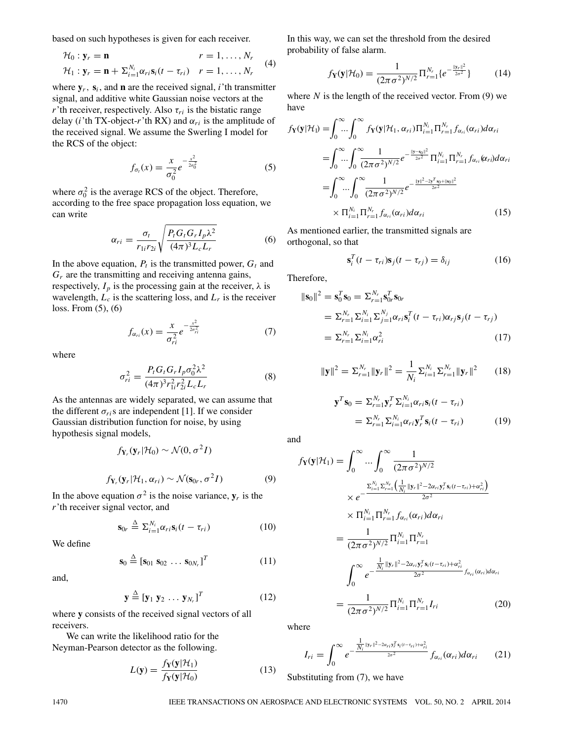based on such hypotheses is given for each receiver.

$$
\mathcal{H}_0: \mathbf{y}_r = \mathbf{n} \qquad \qquad r = 1, \dots, N_r
$$
  

$$
\mathcal{H}_1: \mathbf{y}_r = \mathbf{n} + \sum_{i=1}^{N_i} \alpha_{ri} \mathbf{s}_i (t - \tau_{ri}) \qquad r = 1, \dots, N_r
$$
 (4)

where  $y_r$ ,  $s_i$ , and **n** are the received signal, *i*'th transmitter signal, and additive white Gaussian noise vectors at the *r*'th receiver, respectively. Also  $\tau_{ri}$  is the bistatic range delay (*i*'th TX-object-*r*'th RX) and  $\alpha_{ri}$  is the amplitude of the received signal. We assume the Swerling I model for the RCS of the object:

$$
f_{\sigma_t}(x) = \frac{x}{\sigma_0^2} e^{-\frac{x^2}{2\sigma_0^2}}
$$
 (5)

where  $\sigma_0^2$  is the average RCS of the object. Therefore, according to the free space propagation loss equation, we can write

$$
\alpha_{ri} = \frac{\sigma_i}{r_{1i}r_{2i}} \sqrt{\frac{P_t G_t G_r I_p \lambda^2}{(4\pi)^3 L_c L_r}}
$$
(6)

In the above equation,  $P_t$  is the transmitted power,  $G_t$  and  $G_r$  are the transmitting and receiving antenna gains, respectively,  $I_p$  is the processing gain at the receiver,  $\lambda$  is wavelength,  $L_c$  is the scattering loss, and  $L_r$  is the receiver loss. From (5), (6)

$$
f_{\alpha_{ri}}(x) = \frac{x}{\sigma_{ri}^2} e^{-\frac{x^2}{2\sigma_{ri}^2}}
$$
 (7)

where

$$
\sigma_{ri}^{2} = \frac{P_{i} G_{i} G_{r} I_{p} \sigma_{0}^{2} \lambda^{2}}{(4\pi)^{3} r_{1i}^{2} r_{2i}^{2} L_{c} L_{r}}
$$
(8)

As the antennas are widely separated, we can assume that the different  $\sigma_{ri}$ s are independent [1]. If we consider Gaussian distribution function for noise, by using hypothesis signal models,

$$
f_{\mathbf{Y}_r}(\mathbf{y}_r|\mathcal{H}_0) \sim \mathcal{N}(0, \sigma^2 I)
$$

$$
f_{\mathbf{Y}_r}(\mathbf{y}_r|\mathcal{H}_1, \alpha_{ri}) \sim \mathcal{N}(\mathbf{s}_{0r}, \sigma^2 I)
$$
 (9)

In the above equation  $\sigma^2$  is the noise variance,  $\mathbf{y}_r$  is the *r*'th receiver signal vector, and

$$
\mathbf{s}_{0r} \stackrel{\Delta}{=} \Sigma_{i=1}^{N_i} \alpha_{ri} \mathbf{s}_i (t - \tau_{ri}) \tag{10}
$$

We define

$$
\mathbf{s}_0 \stackrel{\Delta}{=} \left[\mathbf{s}_{01} \; \mathbf{s}_{02} \; \dots \; \mathbf{s}_{0N_r}\right]^T \tag{11}
$$

and,

$$
\mathbf{y} \stackrel{\Delta}{=} [\mathbf{y}_1 \ \mathbf{y}_2 \ \dots \ \mathbf{y}_{N_r}]^T \tag{12}
$$

where **y** consists of the received signal vectors of all receivers.

We can write the likelihood ratio for the Neyman-Pearson detector as the following.

$$
L(\mathbf{y}) = \frac{f_{\mathbf{Y}}(\mathbf{y}|\mathcal{H}_1)}{f_{\mathbf{Y}}(\mathbf{y}|\mathcal{H}_0)}
$$
(13)

In this way, we can set the threshold from the desired probability of false alarm.

$$
f_{\mathbf{Y}}(\mathbf{y}|\mathcal{H}_0) = \frac{1}{(2\pi\sigma^2)^{N/2}} \Pi_{r=1}^{N_r} \{e^{-\frac{\|\mathbf{y}_r\|^2}{2\sigma^2}}\}
$$
(14)

where  $N$  is the length of the received vector. From  $(9)$  we have

$$
f_{\mathbf{Y}}(\mathbf{y}|\mathcal{H}_{l}) = \int_{0}^{\infty} \int_{0}^{\infty} f_{\mathbf{Y}}(\mathbf{y}|\mathcal{H}_{1}, \alpha_{ri}) \Pi_{i=1}^{N_{i}} \Pi_{r=1}^{N_{r}} f_{\alpha_{ri}}(\alpha_{ri}) d\alpha_{ri}
$$
  
\n
$$
= \int_{0}^{\infty} \int_{0}^{\infty} \frac{1}{(2\pi\sigma^{2})^{N/2}} e^{-\frac{\|\mathbf{y}-\mathbf{s}_{0}\|^{2}}{2\sigma^{2}}} \Pi_{i=1}^{N_{i}} \Pi_{r=1}^{N_{r}} f_{\alpha_{ri}}(\alpha_{ri}) d\alpha_{ri}
$$
  
\n
$$
= \int_{0}^{\infty} \int_{0}^{\infty} \frac{1}{(2\pi\sigma^{2})^{N/2}} e^{-\frac{\|\mathbf{y}\|^{2} - 2\gamma^{T}\mathbf{s}_{0} + \|\mathbf{s}_{0}\|^{2}}{2\sigma^{2}}}
$$
  
\n
$$
\times \Pi_{i=1}^{N_{i}} \Pi_{r=1}^{N_{r}} f_{\alpha_{ri}}(\alpha_{ri}) d\alpha_{ri}
$$
 (15)

As mentioned earlier, the transmitted signals are orthogonal, so that

$$
\mathbf{s}_i^T(t - \tau_{ri})\mathbf{s}_j(t - \tau_{rj}) = \delta_{ij} \tag{16}
$$

Therefore,

$$
\|\mathbf{s}_0\|^2 = \mathbf{s}_0^T \mathbf{s}_0 = \sum_{r=1}^{N_r} \mathbf{s}_{0r}^T \mathbf{s}_{0r}
$$
  
\n
$$
= \sum_{r=1}^{N_r} \sum_{i=1}^{N_i} \sum_{j=1}^{N_j} \alpha_{ri} \mathbf{s}_i^T (t - \tau_{ri}) \alpha_{rj} \mathbf{s}_j (t - \tau_{rj})
$$
  
\n
$$
= \sum_{r=1}^{N_r} \sum_{i=1}^{N_i} \alpha_{ri}^2
$$
 (17)

$$
\|\mathbf{y}\|^2 = \sum_{r=1}^{N_r} \|\mathbf{y}_r\|^2 = \frac{1}{N_i} \sum_{i=1}^{N_i} \sum_{r=1}^{N_r} \|\mathbf{y}_r\|^2 \qquad (18)
$$

$$
\mathbf{y}^T \mathbf{s}_0 = \sum_{r=1}^{N_r} \mathbf{y}_r^T \sum_{i=1}^{N_i} \alpha_{ri} \mathbf{s}_i (t - \tau_{ri})
$$
  
= 
$$
\sum_{r=1}^{N_r} \sum_{i=1}^{N_i} \alpha_{ri} \mathbf{y}_r^T \mathbf{s}_i (t - \tau_{ri})
$$
 (19)

and

$$
f_{\mathbf{Y}}(\mathbf{y}|\mathcal{H}_{1}) = \int_{0}^{\infty} \dots \int_{0}^{\infty} \frac{1}{(2\pi\sigma^{2})^{N/2}}
$$
  
\n
$$
\times e^{-\frac{\sum_{i=1}^{N_{i}}\sum_{r=1}^{N_{r}}\left(\frac{1}{N_{i}}||\mathbf{y}_{r}||^{2} - 2\alpha_{ri}\mathbf{y}_{r}^{T}\mathbf{s}_{i}(t-\tau_{ri}) + \alpha_{ri}^{2}\right)}{2\sigma^{2}}}
$$
  
\n
$$
\times \Pi_{i=1}^{N_{i}} \Pi_{r=1}^{N_{r}} f_{\alpha_{ri}}(\alpha_{ri}) d\alpha_{ri}
$$
  
\n
$$
= \frac{1}{(2\pi\sigma^{2})^{N/2}} \Pi_{i=1}^{N_{i}} \Pi_{r=1}^{N_{r}}
$$
  
\n
$$
\int_{0}^{\infty} e^{-\frac{\frac{1}{N_{i}}||\mathbf{y}_{r}||^{2} - 2\alpha_{ri}\mathbf{y}_{r}^{T}\mathbf{s}_{i}(t-\tau_{ri}) + \alpha_{ri}^{2}}{2\sigma^{2}} f_{\alpha_{ri}}(\alpha_{ri}) d\alpha_{ri}}
$$
  
\n
$$
= \frac{1}{(2\pi\sigma^{2})^{N/2}} \Pi_{i=1}^{N_{i}} \Pi_{r=1}^{N_{r}} I_{ri}
$$
 (20)

where

$$
I_{ri} = \int_0^\infty e^{-\frac{\frac{1}{N_i}||\mathbf{y}_r||^2 - 2\alpha_{ri}\mathbf{y}_r^T\mathbf{s}_i(t - \tau_{ri}) + \alpha_{ri}^2}{2\sigma^2}} f_{\alpha_{ri}}(\alpha_{ri}) d\alpha_{ri}
$$
 (21)

Substituting from (7), we have

1470 IEEE TRANSACTIONS ON AEROSPACE AND ELECTRONIC SYSTEMS VOL. 50, NO. 2 APRIL 2014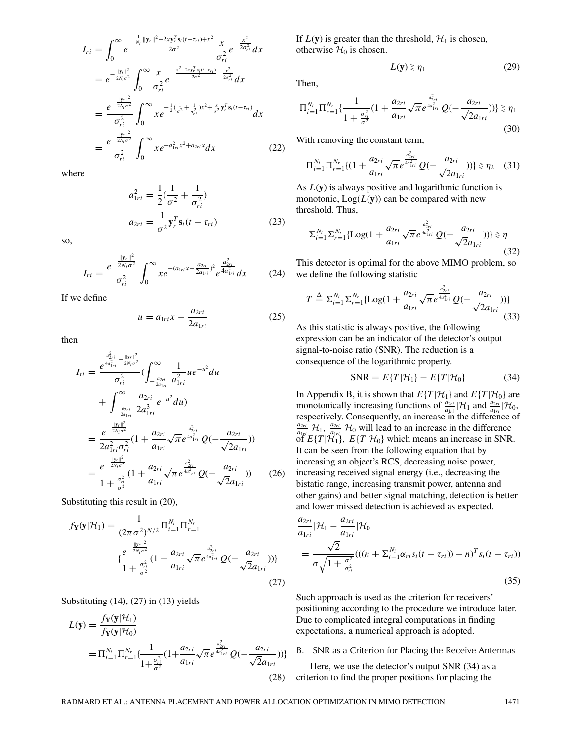$$
I_{ri} = \int_0^\infty e^{-\frac{\frac{1}{N_i}||\mathbf{y}_r||^2 - 2xy_r^T \mathbf{s}_i(t - \tau_{ri}) + x^2}{2\sigma^2}} \frac{x}{\sigma_{ri}^2} e^{-\frac{x^2}{2\sigma_{ri}^2}} dx
$$
  
\n
$$
= e^{-\frac{||\mathbf{y}_r||^2}{2N_i\sigma^2}} \int_0^\infty \frac{x}{\sigma_{ri}^2} e^{-\frac{x^2 - 2xy_r^T \mathbf{s}_i(t - \tau_{ri})}{2\sigma^2} - \frac{x^2}{2\sigma_{ri}^2}} dx
$$
  
\n
$$
= \frac{e^{-\frac{||\mathbf{y}_r||^2}{2N_i\sigma^2}}}{\sigma_{ri}^2} \int_0^\infty x e^{-\frac{1}{2}(\frac{1}{\sigma^2} + \frac{1}{\sigma_{ri}^2})x^2 + \frac{x}{\sigma^2} \mathbf{y}_i^T \mathbf{s}_i(t - \tau_{ri})}{\sigma_{ri}^2} dx
$$
  
\n
$$
= \frac{e^{-\frac{||\mathbf{y}_r||^2}{2N_i\sigma^2}}}{\sigma_{ri}^2} \int_0^\infty x e^{-a_{1ri}^2 x^2 + a_{2ri}x} dx
$$
 (22)

where

$$
a_{1ri}^2 = \frac{1}{2}(\frac{1}{\sigma^2} + \frac{1}{\sigma_{ri}^2})
$$
  

$$
a_{2ri} = \frac{1}{\sigma^2} \mathbf{y}_r^T \mathbf{s}_i (t - \tau_{ri})
$$
 (23)

so,

$$
I_{ri} = \frac{e^{-\frac{\|\mathbf{y}_r\|^2}{2N_i\sigma^2}}}{\sigma_{ri}^2} \int_0^\infty x e^{-(a_{1ri}x - \frac{a_{2ri}}{2a_{1ri}})^2} e^{\frac{a_{2ri}^2}{4a_{1ri}^2}} dx \tag{24}
$$

If we define

$$
u = a_{1ri}x - \frac{a_{2ri}}{2a_{1ri}} \tag{25}
$$

then

$$
I_{ri} = \frac{e^{\frac{a_{2ri}^2}{4a_{1ri}^2} - \frac{\|y_r\|^2}{2N_i\sigma^2}}}{\sigma_{ri}^2} (\int_{-\frac{a_{2ri}}{2a_{1ri}}}^{\infty} \frac{1}{a_{1ri}^2} u e^{-u^2} du
$$
  
+ 
$$
\int_{-\frac{a_{2ri}}{2a_{1ri}}}^{\infty} \frac{a_{2ri}}{2a_{1ri}^3} e^{-u^2} du
$$
  
= 
$$
\frac{e^{-\frac{\|y_r\|^2}{2N_i\sigma^2}}}{2a_{1ri}^2 \sigma_{ri}^2} (1 + \frac{a_{2ri}}{a_{1ri}} \sqrt{\pi} e^{\frac{a_{2ri}^2}{4a_{1ri}^2}} Q(-\frac{a_{2ri}}{\sqrt{2}a_{1ri}}))
$$
  
= 
$$
\frac{e^{-\frac{\|y_r\|^2}{2N_i\sigma^2}}}{1 + \frac{\sigma_{ri}^2}{\sigma^2}} (1 + \frac{a_{2ri}}{a_{1ri}} \sqrt{\pi} e^{\frac{a_{2ri}^2}{4a_{1ri}^2}} Q(-\frac{a_{2ri}}{\sqrt{2}a_{1ri}}))
$$
(26)

Substituting this result in (20),

$$
f_{\mathbf{Y}}(\mathbf{y}|\mathcal{H}_1) = \frac{1}{(2\pi\sigma^2)^{N/2}} \Pi_{i=1}^{N_i} \Pi_{r=1}^{N_r}
$$

$$
\{\frac{e^{-\frac{||\mathbf{y}_r||^2}{2N_i\sigma^2}}}{1 + \frac{\sigma_{ri}^2}{\sigma^2}} (1 + \frac{a_{2ri}}{a_{1ri}} \sqrt{\pi} e^{\frac{a_{2ri}^2}{4a_{1ri}^2}} Q(-\frac{a_{2ri}}{\sqrt{2}a_{1ri}}))\}
$$
(27)

Substituting  $(14)$ ,  $(27)$  in  $(13)$  yields

$$
L(\mathbf{y}) = \frac{f_{\mathbf{Y}}(\mathbf{y}|\mathcal{H}_1)}{f_{\mathbf{Y}}(\mathbf{y}|\mathcal{H}_0)}
$$
  
=  $\Pi_{i=1}^{N_i} \Pi_{r=1}^{N_r} \{ \frac{1}{1 + \frac{\sigma_{ri}^2}{\sigma^2}} (1 + \frac{a_{2ri}}{a_{1ri}} \sqrt{\pi} e^{\frac{a_{2ri}^2}{4a_{1ri}^2}} Q(-\frac{a_{2ri}}{\sqrt{2}a_{1ri}})) \}$  (28)

If  $L(y)$  is greater than the threshold,  $H_1$  is chosen, otherwise  $\mathcal{H}_0$  is chosen.

$$
L(\mathbf{y}) \ge \eta_1 \tag{29}
$$

Then,

$$
\Pi_{i=1}^{N_i} \Pi_{r=1}^{N_r} \{ \frac{1}{1 + \frac{\sigma_{ri}^2}{\sigma^2}} (1 + \frac{a_{2ri}}{a_{1ri}} \sqrt{\pi} e^{\frac{a_{2ri}^2}{4a_{1ri}^2}} Q(-\frac{a_{2ri}}{\sqrt{2}a_{1ri}})) \} \gtrsim \eta_1
$$
\n(30)

With removing the constant term,

$$
\Pi_{i=1}^{N_i} \Pi_{r=1}^{N_r} \{(1 + \frac{a_{2ri}}{a_{1ri}} \sqrt{\pi} e^{\frac{a_{2ri}^2}{4a_{1ri}^2}} Q(-\frac{a_{2ri}}{\sqrt{2} a_{1ri}}))\} \gtrsim \eta_2 \quad (31)
$$

As *L*(**y**) is always positive and logarithmic function is monotonic,  $Log(L(y))$  can be compared with new threshold. Thus,

$$
\sum_{i=1}^{N_i} \sum_{r=1}^{N_r} \{ \text{Log}(1 + \frac{a_{2ri}}{a_{1ri}} \sqrt{\pi} e^{\frac{a_{2ri}^2}{4a_{1ri}^2}} Q(-\frac{a_{2ri}}{\sqrt{2}a_{1ri}})) \} \gtrless \eta
$$
\n(32)

This detector is optimal for the above MIMO problem, so we define the following statistic

$$
T \stackrel{\Delta}{=} \Sigma_{i=1}^{N_i} \Sigma_{r=1}^{N_r} \{ \text{Log}(1 + \frac{a_{2ri}}{a_{1ri}} \sqrt{\pi} e^{\frac{a_{2ri}^2}{4a_{1ri}^2}} Q(-\frac{a_{2ri}}{\sqrt{2}a_{1ri}})) \}
$$
(33)

As this statistic is always positive, the following expression can be an indicator of the detector's output signal-to-noise ratio (SNR). The reduction is a consequence of the logarithmic property.

$$
SNR = E\{T|\mathcal{H}_1\} - E\{T|\mathcal{H}_0\}
$$
 (34)

In Appendix B, it is shown that  $E\{T | \mathcal{H}_1\}$  and  $E\{T | \mathcal{H}_0\}$  are monotonically increasing functions of  $\frac{a_{2ri}}{a_{1ri}}|\mathcal{H}_1$  and  $\frac{a_{2ri}}{a_{1ri}}|\mathcal{H}_0$ , respectively. Consequently, an increase in the difference of  $\frac{a_{2ri}}{a_{1ri}}$  |H<sub>1</sub>,  $\frac{a_{2ri}}{a_{1ri}}$  |H<sub>0</sub> will lead to an increase in the difference  $\int_{a_{1x}i}^{a_{1x}i} f(t) \cdot \int_{a_{1x}i}^{a_{1x}i} f(t) dt$  which means an increase in SNR. It can be seen from the following equation that by increasing an object's RCS, decreasing noise power, increasing received signal energy (i.e., decreasing the bistatic range, increasing transmit power, antenna and other gains) and better signal matching, detection is better and lower missed detection is achieved as expected.

$$
\frac{a_{2ri}}{a_{1ri}}|\mathcal{H}_1 - \frac{a_{2ri}}{a_{1ri}}|\mathcal{H}_0
$$
\n
$$
= \frac{\sqrt{2}}{\sigma\sqrt{1 + \frac{\sigma^2}{\sigma_{ri}^2}}}((n + \Sigma_{i=1}^{N_i} \alpha_{ri} s_i(t - \tau_{ri})) - n)^T s_i(t - \tau_{ri}))
$$
\n(35)

Such approach is used as the criterion for receivers' positioning according to the procedure we introduce later. Due to complicated integral computations in finding expectations, a numerical approach is adopted.

### B. SNR as a Criterion for Placing the Receive Antennas

Here, we use the detector's output SNR (34) as a criterion to find the proper positions for placing the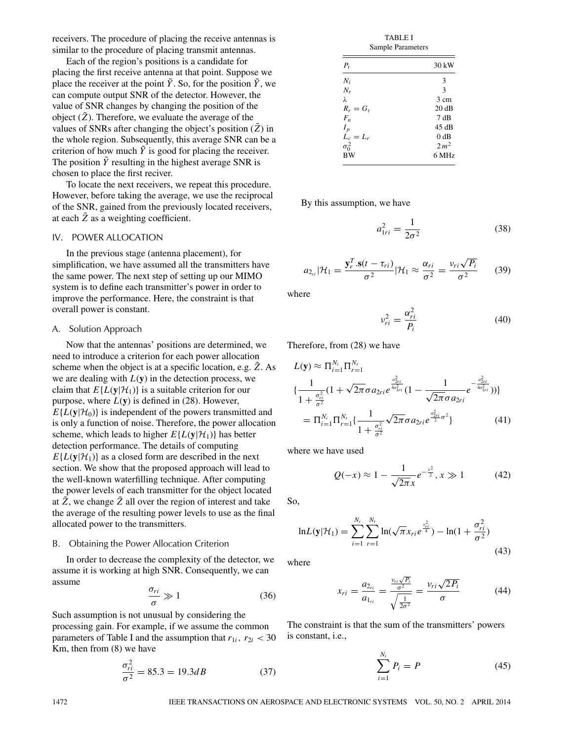receivers. The procedure of placing the receive antennas is similar to the procedure of placing transmit antennas.

Each of the region's positions is a candidate for placing the first receive antenna at that point. Suppose we place the receiver at the point  $\tilde{Y}$ . So, for the position  $\tilde{Y}$ , we can compute output SNR of the detector. However, the value of SNR changes by changing the position of the object  $(\tilde{Z})$ . Therefore, we evaluate the average of the values of SNRs after changing the object's position  $(\tilde{Z})$  in the whole region. Subsequently, this average SNR can be a criterion of how much  $\tilde{Y}$  is good for placing the receiver. The position  $\tilde{Y}$  resulting in the highest average SNR is chosen to place the first reciver.

To locate the next receivers, we repeat this procedure. However, before taking the average, we use the reciprocal of the SNR, gained from the previously located receivers, at each  $\tilde{Z}$  as a weighting coefficient.

## IV. POWER ALLOCATION

In the previous stage (antenna placement), for simplification, we have assumed all the transmitters have the same power. The next step of setting up our MIMO system is to define each transmitter's power in order to improve the performance. Here, the constraint is that overall power is constant.

## A. Solution Approach

Now that the antennas' positions are determined, we need to introduce a criterion for each power allocation scheme when the object is at a specific location, e.g.  $\tilde{Z}$ . As we are dealing with  $L(y)$  in the detection process, we claim that  $E\{L(y|\mathcal{H}_1)\}\)$  is a suitable criterion for our purpose, where  $L(y)$  is defined in (28). However,  $E\{L(\mathbf{y}|\mathcal{H}_0)\}\$ is independent of the powers transmitted and is only a function of noise. Therefore, the power allocation scheme, which leads to higher  $E\{L(y|\mathcal{H}_1)\}\$  has better detection performance. The details of computing  $E\{L(\mathbf{y}|\mathcal{H}_1)\}\$ as a closed form are described in the next section. We show that the proposed approach will lead to the well-known waterfilling technique. After computing the power levels of each transmitter for the object located at  $\tilde{Z}$ , we change  $\tilde{Z}$  all over the region of interest and take the average of the resulting power levels to use as the final allocated power to the transmitters.

### B. Obtaining the Power Allocation Criterion

In order to decrease the complexity of the detector, we assume it is working at high SNR. Consequently, we can assume

$$
\frac{\sigma_{ri}}{\sigma} \gg 1\tag{36}
$$

Such assumption is not unusual by considering the processing gain. For example, if we assume the common parameters of Table I and the assumption that  $r_{1i}$ ,  $r_{2i}$  < 30 Km, then from (8) we have

$$
\frac{\sigma_{ri}^2}{\sigma^2} = 85.3 = 19.3dB
$$
\n(37)

| TABLE I<br>Sample Parameters |                  |  |  |  |
|------------------------------|------------------|--|--|--|
| $P_t$                        | 30 kW            |  |  |  |
| $N_i$                        | 3                |  |  |  |
| $N_r$                        | 3                |  |  |  |
| λ                            | 3 cm             |  |  |  |
| $R_r = G_t$                  | 20dB             |  |  |  |
| $F_n$                        | 7 dB             |  |  |  |
| $I_p$                        | 45 dB            |  |  |  |
| $L_c = L_r$                  | 0 dB             |  |  |  |
| $\sigma_0^2$                 | 2 m <sup>2</sup> |  |  |  |
| <b>BW</b>                    | 6 MHz            |  |  |  |

mint pr

By this assumption, we have

$$
a_{1ri}^2 = \frac{1}{2\sigma^2} \tag{38}
$$

$$
a_{2_{ri}}|\mathcal{H}_1 = \frac{\mathbf{y}_r^T.\mathbf{s}(t-\tau_{ri})}{\sigma^2}|\mathcal{H}_1 \approx \frac{\alpha_{ri}}{\sigma^2} = \frac{\nu_{ri}\sqrt{P_i}}{\sigma^2} \qquad (39)
$$

where

$$
v_{ri}^2 = \frac{\alpha_{ri}^2}{P_i} \tag{40}
$$

Therefore, from (28) we have

$$
L(\mathbf{y}) \approx \Pi_{i=1}^{N_i} \Pi_{r=1}^{N_r}
$$
  
\n
$$
\{\frac{1}{1 + \frac{\sigma_{ri}^2}{\sigma^2}} (1 + \sqrt{2\pi} \sigma a_{2ri} e^{\frac{a_{2ri}^2}{4a_{1ri}^2}} (1 - \frac{1}{\sqrt{2\pi} \sigma a_{2ri}} e^{-\frac{a_{2ri}^2}{4a_{1ri}^2}}))\}
$$
  
\n
$$
= \Pi_{i=1}^{N_i} \Pi_{r=1}^{N_r} \{\frac{1}{1 + \frac{\sigma_{ri}^2}{\sigma^2}} \sqrt{2\pi} \sigma a_{2ri} e^{\frac{a_{2ri}^2}{2}\sigma^2}\}
$$
(41)

where we have used

$$
Q(-x) \approx 1 - \frac{1}{\sqrt{2\pi}x} e^{-\frac{x^2}{2}}, x \gg 1
$$
 (42)

So,

$$
\ln L(\mathbf{y}|\mathcal{H}_1) = \sum_{i=1}^{N_i} \sum_{r=1}^{N_r} \ln(\sqrt{\pi} x_{ri} e^{\frac{x_{ri}^2}{4}}) - \ln(1 + \frac{\sigma_{ri}^2}{\sigma^2})
$$
\n(43)

where

$$
x_{ri} = \frac{a_{2ri}}{a_{1ri}} = \frac{\frac{v_{ri}\sqrt{P_i}}{\sigma^2}}{\sqrt{\frac{1}{2\sigma^2}}} = \frac{v_{ri}\sqrt{2P_i}}{\sigma}
$$
(44)

The constraint is that the sum of the transmitters' powers is constant, i.e.,

$$
\sum_{i=1}^{N_i} P_i = P \tag{45}
$$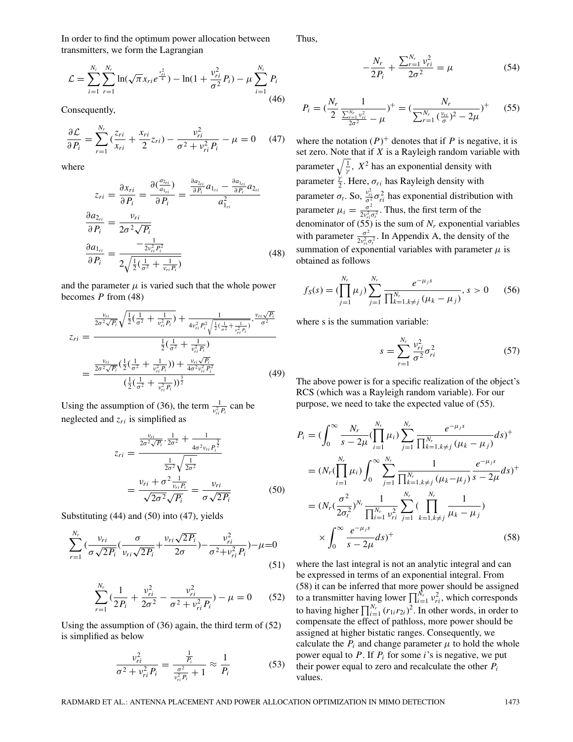In order to find the optimum power allocation between transmitters, we form the Lagrangian

$$
\mathcal{L} = \sum_{i=1}^{N_i} \sum_{r=1}^{N_r} \ln(\sqrt{\pi} x_{ri} e^{\frac{x_{ri}^2}{4}}) - \ln(1 + \frac{\nu_{ri}^2}{\sigma^2} P_i) - \mu \sum_{i=1}^{N_i} P_i
$$
\n(46)

Consequently,

$$
\frac{\partial \mathcal{L}}{\partial P_i} = \sum_{r=1}^{N_r} \left( \frac{z_{ri}}{x_{ri}} + \frac{x_{ri}}{2} z_{ri} \right) - \frac{v_{ri}^2}{\sigma^2 + v_{ri}^2 P_i} - \mu = 0 \quad (47)
$$

where

$$
z_{ri} = \frac{\partial x_{ri}}{\partial P_i} = \frac{\partial(\frac{a_{2ri}}{a_{1ri}})}{\partial P_i} = \frac{\frac{\partial a_{2ri}}{\partial P_i} a_{1_{ri}} - \frac{\partial a_{1_{ri}}}{\partial P_i} a_{2_{ri}}}{a_{1_{ri}}^2}
$$

$$
\frac{\partial a_{2_{ri}}}{\partial P_i} = \frac{v_{ri}}{2\sigma^2 \sqrt{P_i}}
$$

$$
\frac{\partial a_{1_{ri}}}{\partial P_i} = \frac{-\frac{1}{2v_{ri}^2 P_i^2}}{2\sqrt{\frac{1}{2}(\frac{1}{\sigma^2} + \frac{1}{v_{ri} P_i})}}
$$
(48)

and the parameter  $\mu$  is varied such that the whole power becomes *P* from (48)

$$
z_{ri} = \frac{\frac{v_{ri}}{2\sigma^2 \sqrt{P_i}} \sqrt{\frac{1}{2} (\frac{1}{\sigma^2} + \frac{1}{v_{ri}^2 P_i})} + \frac{1}{4v_{ri}^2 P_i^2 \sqrt{\frac{1}{2} (\frac{1}{\sigma^2} + \frac{1}{v_{ri}^2 P_i})}} \cdot \frac{v_{ri} \sqrt{P_i}}{\sigma^2}}{\frac{1}{2} (\frac{1}{\sigma^2} + \frac{1}{v_{ri}^2 P_i})}
$$
\n
$$
= \frac{\frac{v_{ri}}{2\sigma^2 \sqrt{P_i}} (\frac{1}{2} (\frac{1}{\sigma^2} + \frac{1}{v_{ri}^2 P_i})) + \frac{v_{ri} \sqrt{P_i}}{4\sigma^2 v_{ri}^2 P_i^2}}{(\frac{1}{2} (\frac{1}{\sigma^2} + \frac{1}{v_{ri}^2 P_i}))^{\frac{3}{2}}}
$$
(49)

Using the assumption of (36), the term  $\frac{1}{v_{ri}^2 P_i}$  can be neglected and *zri* is simplified as

$$
z_{ri} = \frac{\frac{v_{ri}}{2\sigma^2 \sqrt{P_i}} \cdot \frac{1}{2\sigma^2} + \frac{1}{4\sigma^2 v_{ri} P_i^{\frac{3}{2}}}}{\frac{1}{2\sigma^2} \sqrt{\frac{1}{2\sigma^2}}}
$$

$$
= \frac{v_{ri} + \sigma^2 \frac{1}{v_{ri} P_i}}{\sqrt{2\sigma^2} \sqrt{P_i}} = \frac{v_{ri}}{\sigma \sqrt{2P_i}}
$$
(50)

Substituting (44) and (50) into (47), yields

$$
\sum_{r=1}^{N_r} \left( \frac{v_{ri}}{\sigma \sqrt{2P_i}} \left( \frac{\sigma}{v_{ri} \sqrt{2P_i}} + \frac{v_{ri} \sqrt{2P_i}}{2\sigma} \right) - \frac{v_{ri}^2}{\sigma^2 + v_{ri}^2 P_i} \right) - \mu = 0
$$
\n(51)

$$
\sum_{r=1}^{N_r} \left( \frac{1}{2P_i} + \frac{v_{ri}^2}{2\sigma^2} - \frac{v_{ri}^2}{\sigma^2 + v_{ri}^2 P_i} \right) - \mu = 0 \qquad (52)
$$

Using the assumption of (36) again, the third term of (52) is simplified as below

$$
\frac{v_{ri}^2}{\sigma^2 + v_{ri}^2 P_i} = \frac{\frac{1}{P_i}}{\frac{\sigma^2}{v_{ri}^2 P_i} + 1} \approx \frac{1}{P_i}
$$
(53)

Thus,

$$
-\frac{N_r}{2P_i} + \frac{\sum_{r=1}^{N_r} v_{ri}^2}{2\sigma^2} = \mu
$$
 (54)

$$
P_i = \left(\frac{N_r}{2} \frac{1}{\frac{\sum_{r=1}^{N_r} v_{ri}^2}{2\sigma^2} - \mu}\right)^+ = \left(\frac{N_r}{\sum_{r=1}^{N_r} \left(\frac{v_{ri}}{\sigma}\right)^2 - 2\mu}\right)^+ \tag{55}
$$

where the notation  $(P)^+$  denotes that if *P* is negative, it is set zero. Note that if *X* is a Rayleigh random variable with parameter  $\sqrt{\frac{1}{\gamma}}$ ,  $X^2$  has an exponential density with parameter  $\frac{\dot{y}}{2}$ . Here,  $\sigma_{ri}$  has Rayleigh density with parameter  $\sigma_t$ . So,  $\frac{v_{ri}^2}{\sigma^2} \sigma_{ri}^2$  has exponential distribution with parameter  $\mu_i = \frac{\sigma^2}{2v_{ri}^2 \sigma_i^2}$ . Thus, the first term of the denominator of  $(55)$  is the sum of  $N_r$  exponential variables with parameter  $\frac{\sigma^2}{2v_{ri}^2 \sigma_i^2}$ . In Appendix A, the density of the summation of exponential variables with parameter  $\mu$  is obtained as follows

$$
f_S(s) = (\prod_{j=1}^{N_r} \mu_j) \sum_{j=1}^{N_r} \frac{e^{-\mu_j s}}{\prod_{k=1, k \neq j}^{N_r} (\mu_k - \mu_j)}, s > 0 \qquad (56)
$$

where s is the summation variable:

$$
s = \sum_{r=1}^{N_r} \frac{v_{ri}^2}{\sigma^2} \sigma_{ri}^2
$$
 (57)

The above power is for a specific realization of the object's RCS (which was a Rayleigh random variable). For our purpose, we need to take the expected value of (55).

$$
P_{i} = \left(\int_{0}^{\infty} \frac{N_{r}}{s - 2\mu} \left(\prod_{i=1}^{N_{r}} \mu_{i}\right) \sum_{j=1}^{N_{r}} \frac{e^{-\mu_{j}s}}{\prod_{k=1, k \neq j}^{N_{r}} (\mu_{k} - \mu_{j})} ds\right)^{+}
$$
  
\n
$$
= \left(N_{r}\left(\prod_{i=1}^{N_{r}} \mu_{i}\right) \int_{0}^{\infty} \sum_{j=1}^{N_{r}} \frac{1}{\prod_{k=1, k \neq j}^{N_{r}} (\mu_{k} - \mu_{j})} \frac{e^{-\mu_{j}s}}{s - 2\mu} ds\right)^{+}
$$
  
\n
$$
= \left(N_{r}\left(\frac{\sigma^{2}}{2\sigma_{t}^{2}}\right)^{N_{r}} \frac{1}{\prod_{i=1}^{N_{r}} \nu_{ri}^{2}} \sum_{j=1}^{N_{r}} \left(\prod_{k=1, k \neq j}^{N_{r}} \frac{1}{\mu_{k} - \mu_{j}}\right)
$$
  
\n
$$
\times \int_{0}^{\infty} \frac{e^{-\mu_{j}s}}{s - 2\mu} ds\right)^{+} \qquad (58)
$$

where the last integral is not an analytic integral and can be expressed in terms of an exponential integral. From (58) it can be inferred that more power should be assigned to a transmitter having lower  $\prod_{i=1}^{N_r} v_{ri}^2$ , which corresponds to having higher  $\prod_{i=1}^{N_r} (r_{1i}r_{2i})^2$ . In other words, in order to compensate the effect of pathloss, more power should be assigned at higher bistatic ranges. Consequently, we calculate the  $P_i$  and change parameter  $\mu$  to hold the whole power equal to *P*. If *Pi* for some *i*'s is negative, we put their power equal to zero and recalculate the other *Pi* values.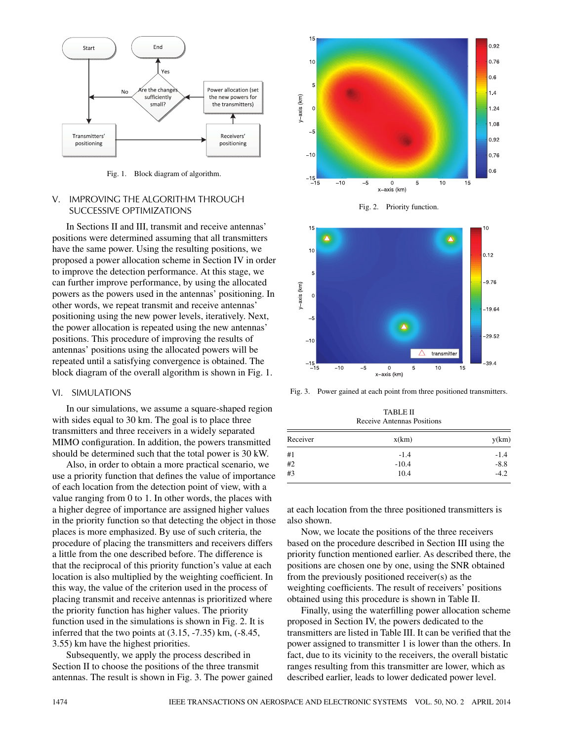

Fig. 1. Block diagram of algorithm.

## V. IMPROVING THE ALGORITHM THROUGH SUCCESSIVE OPTIMIZATIONS

In Sections II and III, transmit and receive antennas' positions were determined assuming that all transmitters have the same power. Using the resulting positions, we proposed a power allocation scheme in Section IV in order to improve the detection performance. At this stage, we can further improve performance, by using the allocated powers as the powers used in the antennas' positioning. In other words, we repeat transmit and receive antennas' positioning using the new power levels, iteratively. Next, the power allocation is repeated using the new antennas' positions. This procedure of improving the results of antennas' positions using the allocated powers will be repeated until a satisfying convergence is obtained. The block diagram of the overall algorithm is shown in Fig. 1.

#### VI. SIMULATIONS

In our simulations, we assume a square-shaped region with sides equal to 30 km. The goal is to place three transmitters and three receivers in a widely separated MIMO configuration. In addition, the powers transmitted should be determined such that the total power is 30 kW.

Also, in order to obtain a more practical scenario, we use a priority function that defines the value of importance of each location from the detection point of view, with a value ranging from 0 to 1. In other words, the places with a higher degree of importance are assigned higher values in the priority function so that detecting the object in those places is more emphasized. By use of such criteria, the procedure of placing the transmitters and receivers differs a little from the one described before. The difference is that the reciprocal of this priority function's value at each location is also multiplied by the weighting coefficient. In this way, the value of the criterion used in the process of placing transmit and receive antennas is prioritized where the priority function has higher values. The priority function used in the simulations is shown in Fig. 2. It is inferred that the two points at  $(3.15, -7.35)$  km,  $(-8.45,$ 3.55) km have the highest priorities.

Subsequently, we apply the process described in Section II to choose the positions of the three transmit antennas. The result is shown in Fig. 3. The power gained



Fig. 2. Priority function.



Fig. 3. Power gained at each point from three positioned transmitters.

TABLE II Receive Antennas Positions

| Receiver | x(km)   | y(km)  |
|----------|---------|--------|
| #1       | $-1.4$  | $-1.4$ |
| #2       | $-10.4$ | $-8.8$ |
| #3       | 10.4    | $-4.2$ |

at each location from the three positioned transmitters is also shown.

Now, we locate the positions of the three receivers based on the procedure described in Section III using the priority function mentioned earlier. As described there, the positions are chosen one by one, using the SNR obtained from the previously positioned receiver(s) as the weighting coefficients. The result of receivers' positions obtained using this procedure is shown in Table II.

Finally, using the waterfilling power allocation scheme proposed in Section IV, the powers dedicated to the transmitters are listed in Table III. It can be verified that the power assigned to transmitter 1 is lower than the others. In fact, due to its vicinity to the receivers, the overall bistatic ranges resulting from this transmitter are lower, which as described earlier, leads to lower dedicated power level.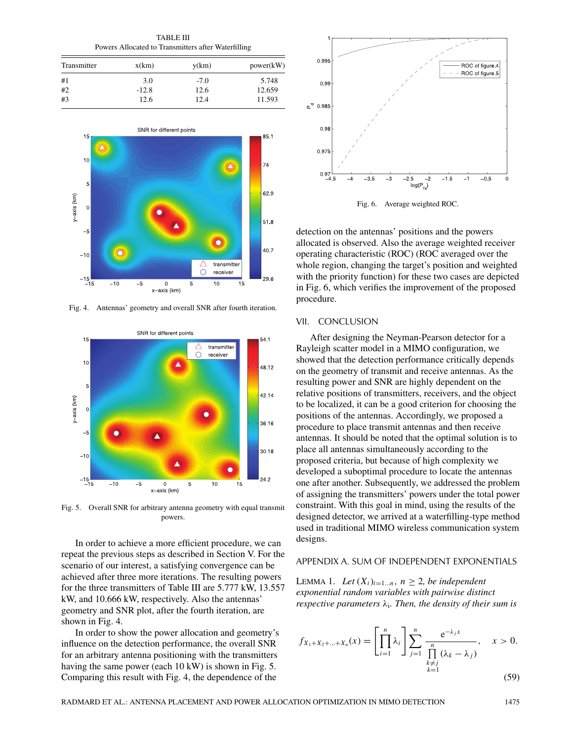TABLE III Powers Allocated to Transmitters after Waterfilling

| Transmitter | x(km)   | y(km)  | power(kW) |
|-------------|---------|--------|-----------|
| #1          | 3.0     | $-7.0$ | 5.748     |
| #2          | $-12.8$ | 12.6   | 12.659    |
| #3          | 12.6    | 12.4   | 11.593    |



Fig. 4. Antennas' geometry and overall SNR after fourth iteration.



Fig. 5. Overall SNR for arbitrary antenna geometry with equal transmit powers.

In order to achieve a more efficient procedure, we can repeat the previous steps as described in Section V. For the scenario of our interest, a satisfying convergence can be achieved after three more iterations. The resulting powers for the three transmitters of Table III are 5.777 kW, 13.557 kW, and 10.666 kW, respectively. Also the antennas' geometry and SNR plot, after the fourth iteration, are shown in Fig. 4.

In order to show the power allocation and geometry's influence on the detection performance, the overall SNR for an arbitrary antenna positioning with the transmitters having the same power (each 10 kW) is shown in Fig. 5. Comparing this result with Fig. 4, the dependence of the



Fig. 6. Average weighted ROC.

detection on the antennas' positions and the powers allocated is observed. Also the average weighted receiver operating characteristic (ROC) (ROC averaged over the whole region, changing the target's position and weighted with the priority function) for these two cases are depicted in Fig. 6, which verifies the improvement of the proposed procedure.

#### VII. CONCLUSION

After designing the Neyman-Pearson detector for a Rayleigh scatter model in a MIMO configuration, we showed that the detection performance critically depends on the geometry of transmit and receive antennas. As the resulting power and SNR are highly dependent on the relative positions of transmitters, receivers, and the object to be localized, it can be a good criterion for choosing the positions of the antennas. Accordingly, we proposed a procedure to place transmit antennas and then receive antennas. It should be noted that the optimal solution is to place all antennas simultaneously according to the proposed criteria, but because of high complexity we developed a suboptimal procedure to locate the antennas one after another. Subsequently, we addressed the problem of assigning the transmitters' powers under the total power constraint. With this goal in mind, using the results of the designed detector, we arrived at a waterfilling-type method used in traditional MIMO wireless communication system designs.

#### APPENDIX A. SUM OF INDEPENDENT EXPONENTIALS

LEMMA 1. *Let*  $(X_i)_{i=1...n}$ ,  $n \geq 2$ , *be independent exponential random variables with pairwise distinct respective parameters λ*i*. Then, the density of their sum is*

$$
f_{X_1+X_2+\dots+X_n}(x) = \left[\prod_{i=1}^n \lambda_i\right] \sum_{\substack{j=1 \ \prod_{\substack{k \neq j}} \lambda_k - \lambda_j \\ k \neq j}}^n \frac{e^{-\lambda_j x}}{\prod_{\substack{k=1 \ k \geq 1}} (\lambda_k - \lambda_j)}, \quad x > 0. \tag{50}
$$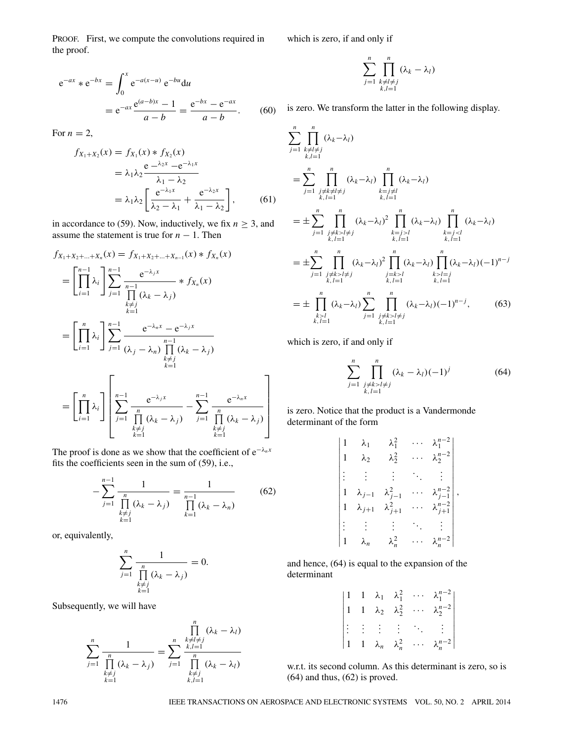PROOF. First, we compute the convolutions required in the proof.

$$
e^{-ax} * e^{-bx} = \int_0^x e^{-a(x-u)} e^{-bu} du
$$
  
=  $e^{-ax} \frac{e^{(a-b)x} - 1}{a - b} = \frac{e^{-bx} - e^{-ax}}{a - b}.$  (60)

For  $n = 2$ ,

$$
f_{X_1+X_2}(x) = f_{X_1}(x) * f_{X_2}(x)
$$
  
=  $\lambda_1 \lambda_2 \frac{e^{-\lambda_2 x} - e^{-\lambda_1 x}}{\lambda_1 - \lambda_2}$   
=  $\lambda_1 \lambda_2 \left[ \frac{e^{-\lambda_1 x}}{\lambda_2 - \lambda_1} + \frac{e^{-\lambda_2 x}}{\lambda_1 - \lambda_2} \right],$  (61)

in accordance to (59). Now, inductively, we fix  $n \geq 3$ , and assume the statement is true for  $n - 1$ . Then

$$
f_{X_1+X_2+\ldots+X_n}(x) = f_{X_1+X_2+\ldots+X_{n-1}}(x) * f_{X_n}(x)
$$
  
\n
$$
= \left[ \prod_{i=1}^{n-1} \lambda_i \right] \sum_{j=1}^{n-1} \frac{e^{-\lambda_j x}}{\prod_{\substack{k \neq j \\ k=1}}^{n-1} (\lambda_k - \lambda_j)}
$$
  
\n
$$
= \left[ \prod_{i=1}^n \lambda_i \right] \sum_{j=1}^{n-1} \frac{e^{-\lambda_n x} - e^{-\lambda_j x}}{(\lambda_j - \lambda_n) \prod_{\substack{k \neq j \\ k \neq j}}^{n-1} (\lambda_k - \lambda_j)}
$$
  
\n
$$
= \left[ \prod_{i=1}^n \lambda_i \right] \left[ \sum_{j=1}^{n-1} \frac{e^{-\lambda_j x}}{\prod_{\substack{k \neq j \\ k \neq j}}^{n} (\lambda_k - \lambda_j)} - \sum_{j=1}^{n-1} \frac{e^{-\lambda_n x}}{\prod_{\substack{k \neq j \\ k \neq j}}^{n} (\lambda_k - \lambda_j)} \right]
$$

The proof is done as we show that the coefficient of e−*λnx* fits the coefficients seen in the sum of (59), i.e.,

 $\underset{k=1}{\overset{k \neq j}{k=1}}$ 

$$
-\sum_{j=1}^{n-1} \frac{1}{\prod_{\substack{k=1 \ k \neq j}}^{n} (\lambda_k - \lambda_j)} = \frac{1}{\prod_{k=1}^{n-1} (\lambda_k - \lambda_n)}
$$
(62)

 $\underset{k=1}{\overset{k \neq j}{k=1}}$ 

⎤

 $\begin{array}{c} \begin{array}{c} \begin{array}{c} \begin{array}{c} \end{array} \\ \begin{array}{c} \end{array} \\ \begin{array}{c} \end{array} \\ \begin{array}{c} \end{array} \end{array} \end{array}$ 

or, equivalently,

$$
\sum_{j=1}^n \frac{1}{\prod_{\substack{k \neq j \\ k \equiv 1}}^n (\lambda_k - \lambda_j)} = 0.
$$

Subsequently, we will have

$$
\sum_{j=1}^{n} \frac{1}{\prod_{\substack{k=1 \ k \neq j}}^{n} (\lambda_k - \lambda_j)} = \sum_{j=1}^{n} \frac{\prod_{\substack{k \neq l \neq j \\ k, l=1}}^{n} (\lambda_k - \lambda_l)}{\prod_{\substack{k=1 \ k \neq j \\ k, l=1}}^{n} (\lambda_k - \lambda_l)}
$$

which is zero, if and only if

$$
\sum_{j=1}^n \prod_{\substack{k \neq l \neq j \\ k, l=1}}^n (\lambda_k - \lambda_l)
$$

is zero. We transform the latter in the following display.

$$
\sum_{j=1}^{n} \prod_{\substack{k \neq l \neq j \\ k, l=1}}^{n} (\lambda_{k} - \lambda_{l})
$$
\n
$$
= \sum_{j=1}^{n} \prod_{\substack{j \neq k \neq l \neq j \\ k, l=1}}^{n} (\lambda_{k} - \lambda_{l}) \prod_{\substack{k=j \neq l \\ k, l=1}}^{n} (\lambda_{k} - \lambda_{l})
$$
\n
$$
= \pm \sum_{j=1}^{n} \prod_{\substack{j \neq k > l \neq j \\ k, l=1}}^{n} (\lambda_{k} - \lambda_{l})^{2} \prod_{\substack{k=j>l \\ k, l=1}}^{n} (\lambda_{k} - \lambda_{l}) \prod_{\substack{k=j\n
$$
= \pm \sum_{j=1}^{n} \prod_{\substack{j \neq k > l \neq j \\ k, l=1}}^{n} (\lambda_{k} - \lambda_{l})^{2} \prod_{\substack{j=k>l \\ k, l=1}}^{n} (\lambda_{k} - \lambda_{l}) \prod_{\substack{k>l=j \\ k, l=1}}^{n} (\lambda_{k} - \lambda_{l}) (-1)^{n-j}
$$
\n
$$
= \pm \prod_{\substack{k>l \\ k, l=1}}^{n} (\lambda_{k} - \lambda_{l}) \sum_{\substack{j=1 \\ j \neq k > l \neq j \\ k, l=1}}^{n} \prod_{\substack{j \neq k > l \neq j \\ k, l=1}}^{n} (\lambda_{k} - \lambda_{l}) (-1)^{n-j}, \qquad (63)
$$
$$

which is zero, if and only if

$$
\sum_{j=1}^{n} \prod_{\substack{j \neq k > l \neq j \\ k, l=1}}^{n} (\lambda_k - \lambda_l)(-1)^j
$$
 (64)

is zero. Notice that the product is a Vandermonde determinant of the form

$$
\begin{vmatrix}\n1 & \lambda_1 & \lambda_1^2 & \cdots & \lambda_1^{n-2} \\
1 & \lambda_2 & \lambda_2^2 & \cdots & \lambda_2^{n-2} \\
\vdots & \vdots & \vdots & \ddots & \vdots \\
1 & \lambda_{j-1} & \lambda_{j-1}^2 & \cdots & \lambda_{j-1}^{n-2} \\
1 & \lambda_{j+1} & \lambda_{j+1}^2 & \cdots & \lambda_{j+1}^{n-2} \\
\vdots & \vdots & \vdots & \ddots & \vdots \\
1 & \lambda_n & \lambda_n^2 & \cdots & \lambda_n^{n-2}\n\end{vmatrix},
$$

and hence, (64) is equal to the expansion of the determinant

|  |  |  | $\begin{vmatrix} 1 & 1 & \lambda_1 & \lambda_1^2 & \cdots & \lambda_1^{n-2} \\ 1 & 1 & \lambda_2 & \lambda_2^2 & \cdots & \lambda_2^{n-2} \end{vmatrix}$ |
|--|--|--|----------------------------------------------------------------------------------------------------------------------------------------------------------|
|  |  |  | $\begin{vmatrix} \vdots & \vdots & \vdots & \ddots & \vdots \\ 1 & 1 & \lambda_n & \lambda_n^2 & \cdots & \lambda_n^{n-2} \end{vmatrix}$                 |
|  |  |  |                                                                                                                                                          |

w.r.t. its second column. As this determinant is zero, so is (64) and thus, (62) is proved.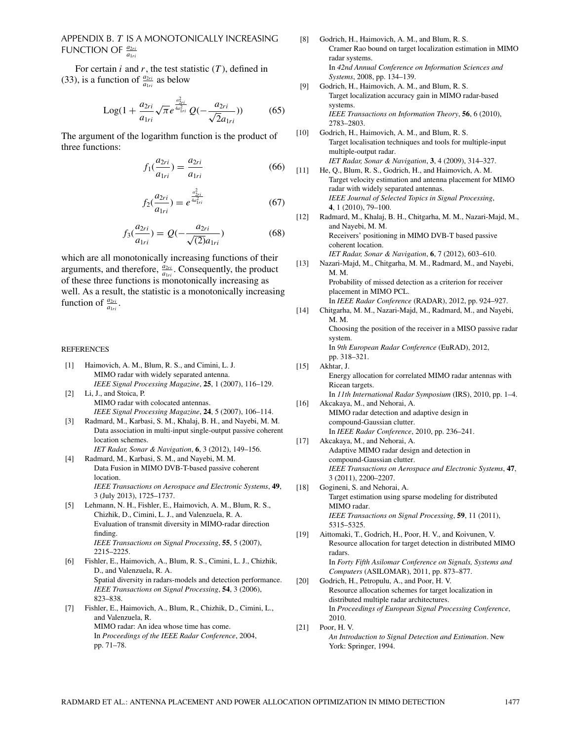# APPENDIX B. *T* IS A MONOTONICALLY INCREASING FUNCTION OF  $\frac{a_{2ri}}{a_{1ri}}$

For certain  $i$  and  $r$ , the test statistic  $(T)$ , defined in (33), is a function of  $\frac{a_{2ri}}{a_{1ri}}$  as below

Log
$$
(1 + \frac{a_{2ri}}{a_{1ri}}\sqrt{\pi}e^{\frac{a_{2ri}^2}{4a_{1ri}^2}}Q(-\frac{a_{2ri}}{\sqrt{2}a_{1ri}}))
$$
 (65)

The argument of the logarithm function is the product of three functions:

$$
f_1(\frac{a_{2ri}}{a_{1ri}}) = \frac{a_{2ri}}{a_{1ri}}\tag{66}
$$

$$
f_2(\frac{a_{2ri}}{a_{1ri}}) = e^{\frac{a_{2ri}^2}{4a_{1ri}^2}}
$$
 (67)

$$
f_3(\frac{a_{2ri}}{a_{1ri}}) = Q(-\frac{a_{2ri}}{\sqrt{(2)}a_{1ri}})
$$
 (68)

which are all monotonically increasing functions of their arguments, and therefore,  $\frac{a_{2ri}}{a_{1ri}}$ . Consequently, the product of these three functions is monotonically increasing as well. As a result, the statistic is a monotonically increasing function of  $\frac{a_{2ri}}{a_{1ri}}$ .

#### **REFERENCES**

- [1] Haimovich, A. M., Blum, R. S., and Cimini, L. J. MIMO radar with widely separated antenna. *IEEE Signal Processing Magazine*, **25**, 1 (2007), 116–129.
- [2] Li, J., and Stoica, P. MIMO radar with colocated antennas. *IEEE Signal Processing Magazine*, **24**, 5 (2007), 106–114.
- [3] Radmard, M., Karbasi, S. M., Khalaj, B. H., and Nayebi, M. M. Data association in multi-input single-output passive coherent location schemes. *IET Radar, Sonar & Navigation*, **6**, 3 (2012), 149–156.
- [4] Radmard, M., Karbasi, S. M., and Nayebi, M. M. Data Fusion in MIMO DVB-T-based passive coherent location.
	- *IEEE Transactions on Aerospace and Electronic Systems*, **49**, 3 (July 2013), 1725–1737.
- [5] Lehmann, N. H., Fishler, E., Haimovich, A. M., Blum, R. S., Chizhik, D., Cimini, L. J., and Valenzuela, R. A. Evaluation of transmit diversity in MIMO-radar direction finding. *IEEE Transactions on Signal Processing*, **55**, 5 (2007), 2215–2225.
- [6] Fishler, E., Haimovich, A., Blum, R. S., Cimini, L. J., Chizhik, D., and Valenzuela, R. A. Spatial diversity in radars-models and detection performance. *IEEE Transactions on Signal Processing*, **54**, 3 (2006), 823–838.
- [7] Fishler, E., Haimovich, A., Blum, R., Chizhik, D., Cimini, L., and Valenzuela, R. MIMO radar: An idea whose time has come. In *Proceedings of the IEEE Radar Conference*, 2004, pp. 71–78.
- [8] Godrich, H., Haimovich, A. M., and Blum, R. S. Cramer Rao bound on target localization estimation in MIMO radar systems. In *42nd Annual Conference on Information Sciences and Systems*, 2008, pp. 134–139.
- [9] Godrich, H., Haimovich, A. M., and Blum, R. S. Target localization accuracy gain in MIMO radar-based systems. *IEEE Transactions on Information Theory*, **56**, 6 (2010), 2783–2803.
- [10] Godrich, H., Haimovich, A. M., and Blum, R. S. Target localisation techniques and tools for multiple-input multiple-output radar. *IET Radar, Sonar & Navigation*, **3**, 4 (2009), 314–327.
- [11] He, Q., Blum, R. S., Godrich, H., and Haimovich, A. M. Target velocity estimation and antenna placement for MIMO radar with widely separated antennas. *IEEE Journal of Selected Topics in Signal Processing*, **4**, 1 (2010), 79–100. [12] Radmard, M., Khalaj, B. H., Chitgarha, M. M., Nazari-Majd, M.,
- and Nayebi, M. M. Receivers' positioning in MIMO DVB-T based passive coherent location. *IET Radar, Sonar & Navigation*, **6**, 7 (2012), 603–610.
- [13] Nazari-Majd, M., Chitgarha, M. M., Radmard, M., and Nayebi, M. M. Probability of missed detection as a criterion for receiver placement in MIMO PCL. In *IEEE Radar Conference* (RADAR), 2012, pp. 924–927.
- [14] Chitgarha, M. M., Nazari-Majd, M., Radmard, M., and Nayebi, M. M. Choosing the position of the receiver in a MISO passive radar system. In *9th European Radar Conference* (EuRAD), 2012, pp. 318–321.
- [15] Akhtar, J. Energy allocation for correlated MIMO radar antennas with Ricean targets. In *11th International Radar Symposium* (IRS), 2010, pp. 1–4.
- [16] Akcakaya, M., and Nehorai, A. MIMO radar detection and adaptive design in compound-Gaussian clutter. In *IEEE Radar Conference*, 2010, pp. 236–241.
- [17] Akcakaya, M., and Nehorai, A. Adaptive MIMO radar design and detection in compound-Gaussian clutter. *IEEE Transactions on Aerospace and Electronic Systems*, **47**, 3 (2011), 2200–2207. [18] Gogineni, S. and Nehorai, A.
- Target estimation using sparse modeling for distributed MIMO radar. *IEEE Transactions on Signal Processing*, **59**, 11 (2011), 5315–5325.
- [19] Aittomaki, T., Godrich, H., Poor, H. V., and Koivunen, V. Resource allocation for target detection in distributed MIMO radars. In *Forty Fifth Asilomar Conference on Signals, Systems and Computers* (ASILOMAR), 2011, pp. 873–877.
- [20] Godrich, H., Petropulu, A., and Poor, H. V. Resource allocation schemes for target localization in distributed multiple radar architectures. In *Proceedings of European Signal Processing Conference*, 2010.
- [21] Poor, H. V. *An Introduction to Signal Detection and Estimation*. New York: Springer, 1994.